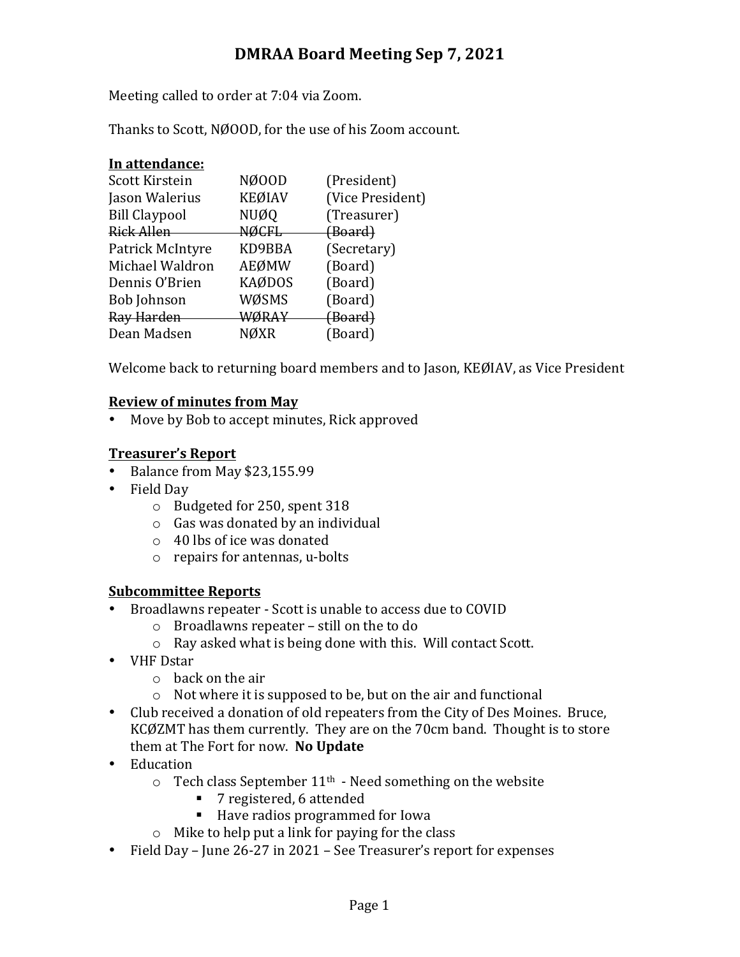# **DMRAA Board Meeting Sep 7, 2021**

Meeting called to order at 7:04 via Zoom.

Thanks to Scott, NØOOD, for the use of his Zoom account.

| In attendance:       |               |                    |
|----------------------|---------------|--------------------|
| Scott Kirstein       | NØ00D         | (President)        |
| Jason Walerius       | <b>KEØIAV</b> | (Vice President)   |
| <b>Bill Claypool</b> | <b>NUØQ</b>   | (Treasurer)        |
| Rick Allen           | NØCFL         | <del>(Board)</del> |
| Patrick McIntyre     | KD9BBA        | (Secretary)        |
| Michael Waldron      | AEØMW         | (Board)            |
| Dennis O'Brien       | <b>KAØDOS</b> | (Board)            |
| Bob Johnson          | WØSMS         | (Board)            |
| Ray Harden           | WØRAY         | (Board)            |
| Dean Madsen          | NØXR          | (Board)            |
|                      |               |                    |

Welcome back to returning board members and to Jason, KEØIAV, as Vice President

### **Review of minutes from May**

• Move by Bob to accept minutes, Rick approved

## **Treasurer's Report**

- Balance from May \$23,155.99
- Field Day
	- o Budgeted for 250, spent 318
	- $\circ$  Gas was donated by an individual
	- $\circ$  40 lbs of ice was donated
	- $\circ$  repairs for antennas, u-bolts

## **Subcommittee Reports**

- Broadlawns repeater Scott is unable to access due to COVID
	- $\circ$  Broadlawns repeater still on the to do
	- $\circ$  Ray asked what is being done with this. Will contact Scott.
- VHF Dstar
	- $\circ$  back on the air
	- $\circ$  Not where it is supposed to be, but on the air and functional
- Club received a donation of old repeaters from the City of Des Moines. Bruce, KCØZMT has them currently. They are on the 70cm band. Thought is to store them at The Fort for now. No Update
- Education
	- $\circ$  Tech class September 11<sup>th</sup> Need something on the website
		- 7 registered, 6 attended
		- Have radios programmed for Iowa
	- $\circ$  Mike to help put a link for paying for the class
- Field Day June 26-27 in 2021 See Treasurer's report for expenses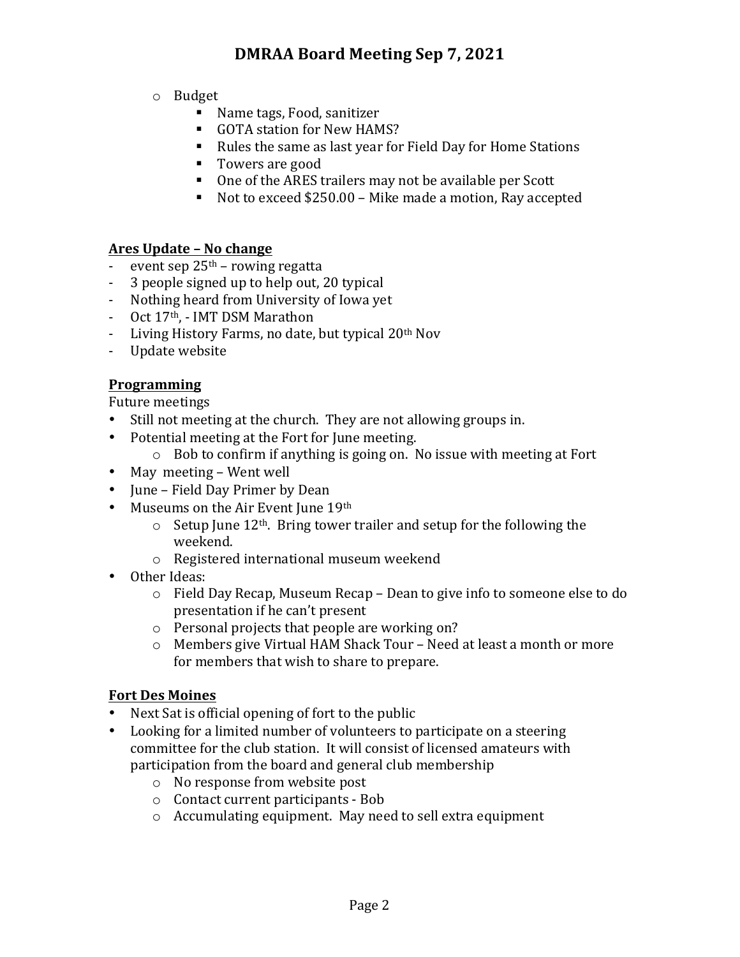- o Budget
	- Name tags, Food, sanitizer
	- GOTA station for New HAMS?
	- Rules the same as last year for Field Day for Home Stations
	- Towers are good
	- One of the ARES trailers may not be available per Scott
	- Not to exceed \$250.00 Mike made a motion, Ray accepted

#### **Ares Update – No change**

- event sep  $25<sup>th</sup>$  rowing regatta
- 3 people signed up to help out, 20 typical
- Nothing heard from University of Iowa yet
- Oct 17<sup>th</sup>, IMT DSM Marathon
- Living History Farms, no date, but typical 20<sup>th</sup> Nov
- Update website

#### **Programming**

Future meetings

- Still not meeting at the church. They are not allowing groups in.
- Potential meeting at the Fort for June meeting.
	- $\circ$  Bob to confirm if anything is going on. No issue with meeting at Fort
- May meeting Went well
- June Field Day Primer by Dean
- Museums on the Air Event June 19th
	- $\circ$  Setup June 12<sup>th</sup>. Bring tower trailer and setup for the following the weekend.
	- $\circ$  Registered international museum weekend
- Other Ideas:
	- $\circ$  Field Day Recap, Museum Recap Dean to give info to someone else to do presentation if he can't present
	- $\circ$  Personal projects that people are working on?
	- $\circ$  Members give Virtual HAM Shack Tour Need at least a month or more for members that wish to share to prepare.

#### **Fort Des Moines**

- Next Sat is official opening of fort to the public
- Looking for a limited number of volunteers to participate on a steering committee for the club station. It will consist of licensed amateurs with participation from the board and general club membership
	- $\circ$  No response from website post
	- $\circ$  Contact current participants Bob
	- $\circ$  Accumulating equipment. May need to sell extra equipment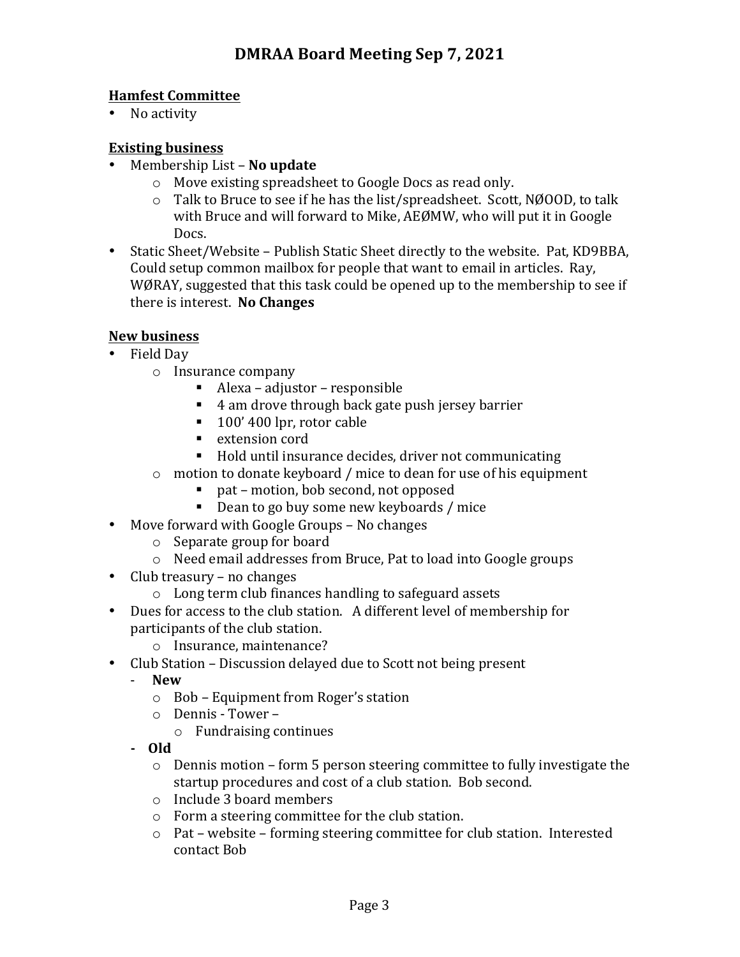## **Hamfest Committee**

• No activity

#### **Existing business**

- Membership List **No update** 
	- $\circ$  Move existing spreadsheet to Google Docs as read only.
	- $\circ$  Talk to Bruce to see if he has the list/spreadsheet. Scott, NØOOD, to talk with Bruce and will forward to Mike, AEØMW, who will put it in Google Docs.
- Static Sheet/Website Publish Static Sheet directly to the website. Pat, KD9BBA, Could setup common mailbox for people that want to email in articles. Ray, WØRAY, suggested that this task could be opened up to the membership to see if there is interest. No Changes

### **New business**

- Field Dav
	- o Insurance company
		- $\blacksquare$  Alexa adjustor responsible
		- 4 am drove through back gate push jersey barrier
		- 100' 400 lpr, rotor cable
		- extension cord
		- Hold until insurance decides, driver not communicating
	- $\circ$  motion to donate keyboard / mice to dean for use of his equipment
		- pat motion, bob second, not opposed
		- Dean to go buy some new keyboards / mice
- Move forward with Google Groups No changes
	- $\circ$  Separate group for board
	- $\circ$  Need email addresses from Bruce, Pat to load into Google groups
- Club treasury no changes
	- $\circ$  Long term club finances handling to safeguard assets
- Dues for access to the club station. A different level of membership for participants of the club station.
	- $\circ$  Insurance, maintenance?
- Club Station Discussion delayed due to Scott not being present
	- **New** 
		- $\circ$  Bob Equipment from Roger's station
		- $\circ$  Dennis Tower
			- $\circ$  Fundraising continues
	- **- Old**
		- $\circ$  Dennis motion form 5 person steering committee to fully investigate the startup procedures and cost of a club station. Bob second.
		- $\circ$  Include 3 board members
		- $\circ$  Form a steering committee for the club station.
		- $\circ$  Pat website forming steering committee for club station. Interested contact Bob